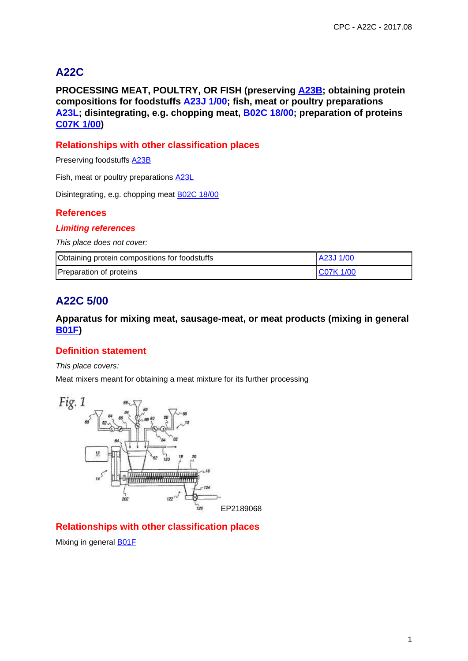# **A22C**

**PROCESSING MEAT, POULTRY, OR FISH (preserving A23B; obtaining protein compositions for foodstuffs A23J 1/00; fish, meat or poultry preparations A23L; disintegrating, e.g. chopping meat, B02C 18/00; preparation of proteins C07K 1/00)**

## **Relationships with other classification places**

Preserving foodstuffs A23B

Fish, meat or poultry preparations **A23L** 

Disintegrating, e.g. chopping meat B02C 18/00

## **References**

#### **Limiting references**

This place does not cover:

| Obtaining protein compositions for foodstuffs | <b>A23J 1/00</b> |
|-----------------------------------------------|------------------|
| Preparation of proteins                       | <b>IC07K1/00</b> |

# **A22C 5/00**

### **Apparatus for mixing meat, sausage-meat, or meat products (mixing in general B01F)**

## **Definition statement**

#### This place covers:

Meat mixers meant for obtaining a meat mixture for its further processing



### **Relationships with other classification places**

Mixing in general **B01F**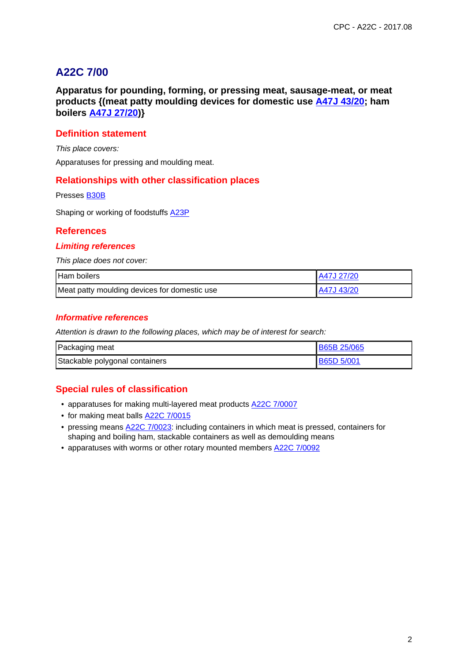# **A22C 7/00**

**Apparatus for pounding, forming, or pressing meat, sausage-meat, or meat products {(meat patty moulding devices for domestic use A47J 43/20; ham boilers A47J 27/20)}**

## **Definition statement**

This place covers:

Apparatuses for pressing and moulding meat.

#### **Relationships with other classification places**

Presses B30B

Shaping or working of foodstuffs A23P

#### **References**

#### **Limiting references**

This place does not cover:

| Ham boilers                                  | A47J 27/20 |
|----------------------------------------------|------------|
| Meat patty moulding devices for domestic use | A47J 43/20 |

#### **Informative references**

Attention is drawn to the following places, which may be of interest for search:

| Packaging meat                 | <b>B65B 25/065</b> |
|--------------------------------|--------------------|
| Stackable polygonal containers | <b>B65D 5/001</b>  |

## **Special rules of classification**

- apparatuses for making multi-layered meat products A22C 7/0007
- for making meat balls **A22C 7/0015**
- pressing means A22C 7/0023: including containers in which meat is pressed, containers for shaping and boiling ham, stackable containers as well as demoulding means
- apparatuses with worms or other rotary mounted members **A22C 7/0092**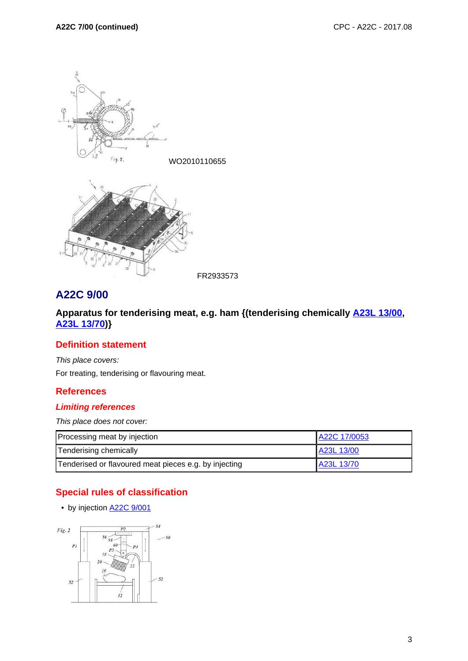

#### FR2933573

# **A22C 9/00**

## **Apparatus for tenderising meat, e.g. ham {(tenderising chemically A23L 13/00, A23L 13/70)}**

### **Definition statement**

This place covers:

For treating, tenderising or flavouring meat.

## **References**

### **Limiting references**

This place does not cover:

| Processing meat by injection                          | A22C 17/0053 |
|-------------------------------------------------------|--------------|
| Tenderising chemically                                | A23L 13/00   |
| Tenderised or flavoured meat pieces e.g. by injecting | A23L 13/70   |

# **Special rules of classification**

• by injection **A22C 9/001** 

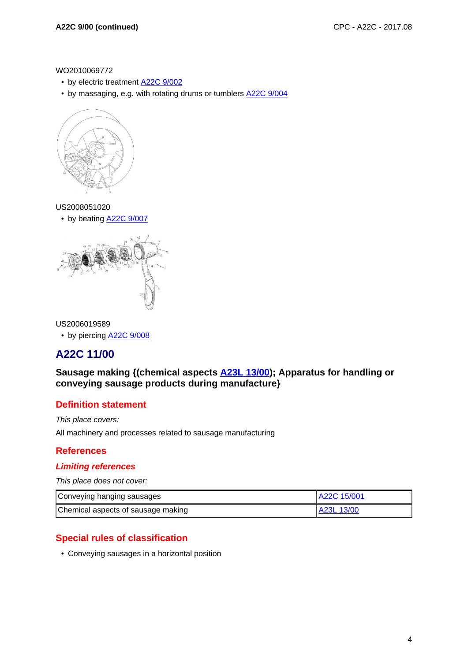WO2010069772

- by electric treatment A22C 9/002
- by massaging, e.g. with rotating drums or tumblers A22C 9/004



#### US2008051020

• by beating **A22C 9/007** 



#### US2006019589

• by piercing **A22C 9/008** 

# **A22C 11/00**

## **Sausage making {(chemical aspects A23L 13/00); Apparatus for handling or conveying sausage products during manufacture}**

#### **Definition statement**

This place covers:

All machinery and processes related to sausage manufacturing

#### **References**

#### **Limiting references**

This place does not cover:

| Conveying hanging sausages         | A22C 15/001 |
|------------------------------------|-------------|
| Chemical aspects of sausage making | A23L 13/00  |

### **Special rules of classification**

• Conveying sausages in a horizontal position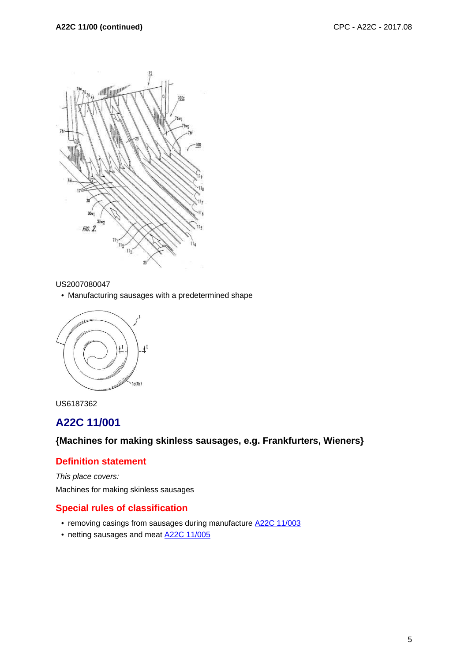

#### US2007080047

• Manufacturing sausages with a predetermined shape





# **A22C 11/001**

**{Machines for making skinless sausages, e.g. Frankfurters, Wieners}**

## **Definition statement**

This place covers: Machines for making skinless sausages

#### **Special rules of classification**

- removing casings from sausages during manufacture A22C 11/003
- netting sausages and meat **A22C 11/005**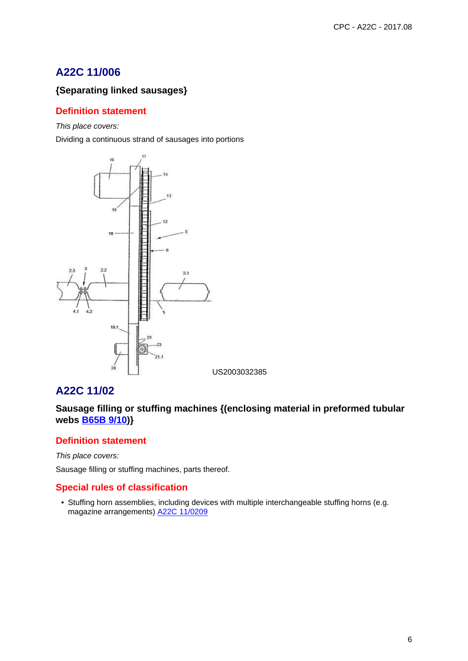# **A22C 11/006**

# **{Separating linked sausages}**

## **Definition statement**

This place covers:

Dividing a continuous strand of sausages into portions



# **A22C 11/02**

**Sausage filling or stuffing machines {(enclosing material in preformed tubular webs B65B 9/10)}**

## **Definition statement**

This place covers:

Sausage filling or stuffing machines, parts thereof.

# **Special rules of classification**

• Stuffing horn assemblies, including devices with multiple interchangeable stuffing horns (e.g. magazine arrangements) A22C 11/0209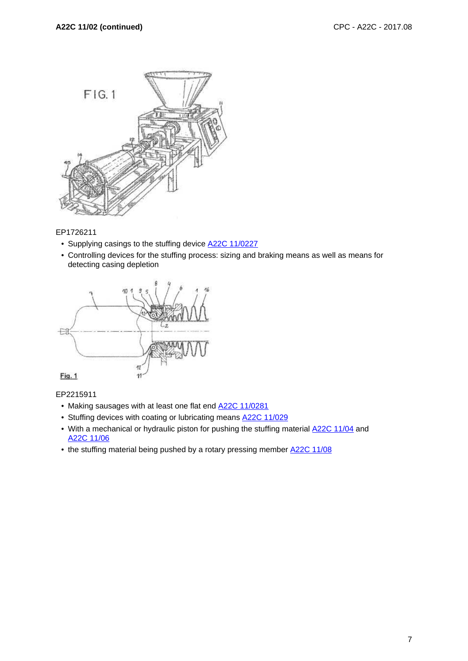

#### EP1726211

- Supplying casings to the stuffing device **A22C 11/0227**
- Controlling devices for the stuffing process: sizing and braking means as well as means for detecting casing depletion



## EP2215911

- Making sausages with at least one flat end **A22C 11/0281**
- Stuffing devices with coating or lubricating means A22C 11/029
- With a mechanical or hydraulic piston for pushing the stuffing material  $\frac{A22C}{11/04}$  and A22C 11/06
- the stuffing material being pushed by a rotary pressing member A22C 11/08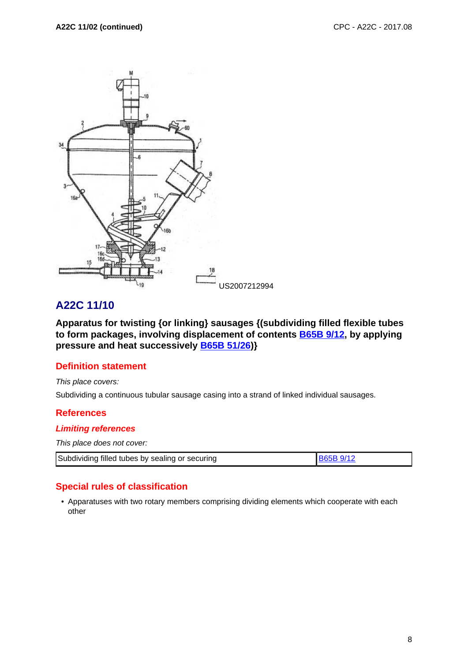

# **A22C 11/10**

**Apparatus for twisting {or linking} sausages {(subdividing filled flexible tubes to form packages, involving displacement of contents B65B 9/12, by applying pressure and heat successively B65B 51/26)}**

## **Definition statement**

This place covers:

Subdividing a continuous tubular sausage casing into a strand of linked individual sausages.

#### **References**

#### **Limiting references**

This place does not cover:

| Subdividing filled tubes by sealing or securing | <b>B65B 9/12</b> |  |
|-------------------------------------------------|------------------|--|
|-------------------------------------------------|------------------|--|

## **Special rules of classification**

• Apparatuses with two rotary members comprising dividing elements which cooperate with each other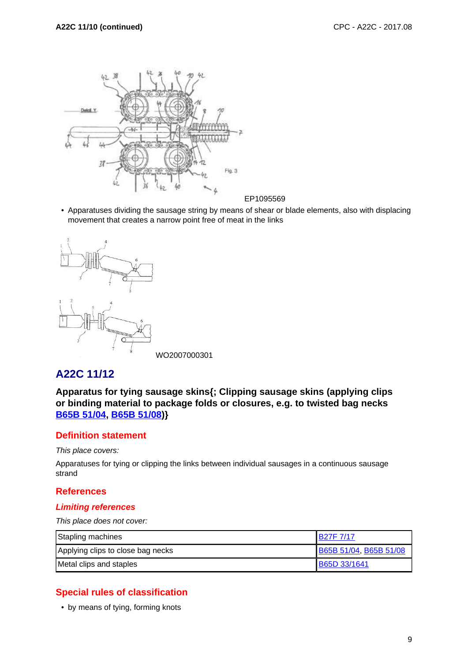

- EP1095569
- Apparatuses dividing the sausage string by means of shear or blade elements, also with displacing movement that creates a narrow point free of meat in the links



# **A22C 11/12**

**Apparatus for tying sausage skins{; Clipping sausage skins (applying clips or binding material to package folds or closures, e.g. to twisted bag necks B65B 51/04, B65B 51/08)}**

# **Definition statement**

This place covers:

Apparatuses for tying or clipping the links between individual sausages in a continuous sausage strand

## **References**

## **Limiting references**

This place does not cover:

| Stapling machines                 | IB27F 7/17             |
|-----------------------------------|------------------------|
| Applying clips to close bag necks | B65B 51/04, B65B 51/08 |
| Metal clips and staples           | B65D 33/1641           |

# **Special rules of classification**

• by means of tying, forming knots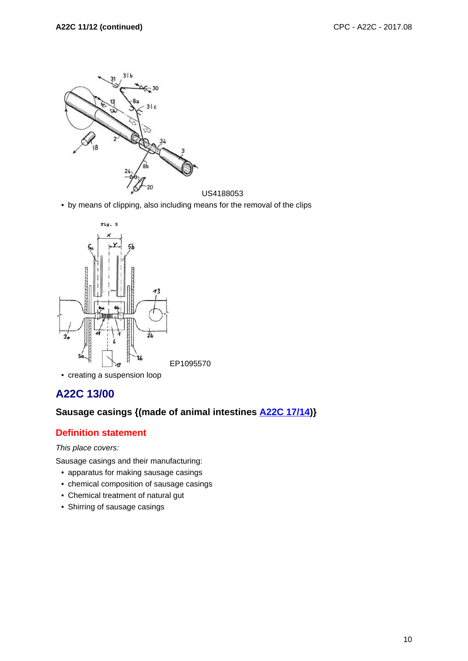

• by means of clipping, also including means for the removal of the clips



#### • creating a suspension loop

# **A22C 13/00**

# **Sausage casings {(made of animal intestines A22C 17/14)}**

## **Definition statement**

This place covers:

Sausage casings and their manufacturing:

- apparatus for making sausage casings
- chemical composition of sausage casings
- Chemical treatment of natural gut
- Shirring of sausage casings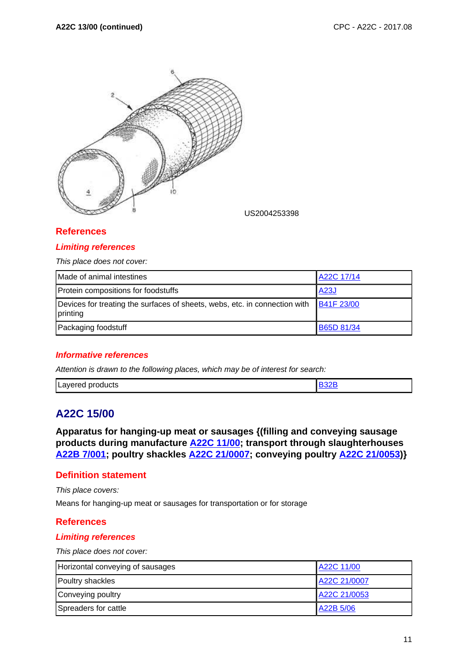

US2004253398

# **References**

#### **Limiting references**

This place does not cover:

| Made of animal intestines                                                              | A22C 17/14        |
|----------------------------------------------------------------------------------------|-------------------|
| Protein compositions for foodstuffs                                                    | <b>A23J</b>       |
| Devices for treating the surfaces of sheets, webs, etc. in connection with<br>printing | <b>B41F 23/00</b> |
| Packaging foodstuff                                                                    | <b>B65D 81/34</b> |

#### **Informative references**

Attention is drawn to the following places, which may be of interest for search:

| Layered<br>products |  |
|---------------------|--|
|                     |  |

# **A22C 15/00**

**Apparatus for hanging-up meat or sausages {(filling and conveying sausage products during manufacture A22C 11/00; transport through slaughterhouses A22B 7/001; poultry shackles A22C 21/0007; conveying poultry A22C 21/0053)}**

#### **Definition statement**

This place covers:

Means for hanging-up meat or sausages for transportation or for storage

#### **References**

#### **Limiting references**

This place does not cover:

| Horizontal conveying of sausages | A22C 11/00   |
|----------------------------------|--------------|
| Poultry shackles                 | A22C 21/0007 |
| Conveying poultry                | A22C 21/0053 |
| Spreaders for cattle             | A22B 5/06    |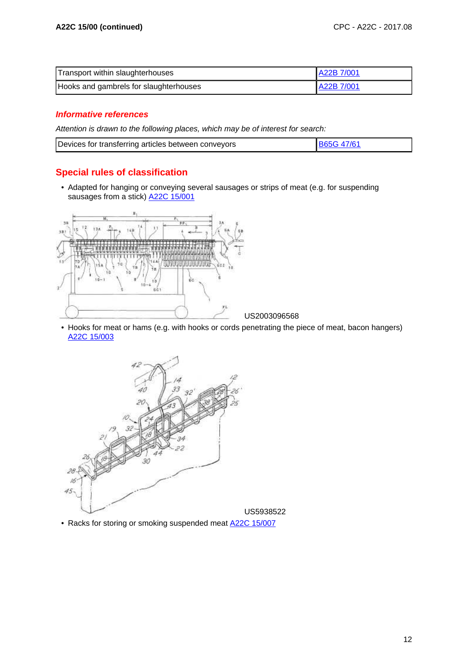| Transport within slaughterhouses       | A22B 7/001 |
|----------------------------------------|------------|
| Hooks and gambrels for slaughterhouses | A22B 7/001 |

## **Informative references**

Attention is drawn to the following places, which may be of interest for search:

| Devices for transferring articles between conveyors | B65G 47/61 |
|-----------------------------------------------------|------------|

# **Special rules of classification**

• Adapted for hanging or conveying several sausages or strips of meat (e.g. for suspending sausages from a stick) A22C 15/001



• Hooks for meat or hams (e.g. with hooks or cords penetrating the piece of meat, bacon hangers) A22C 15/003



• Racks for storing or smoking suspended meat A22C 15/007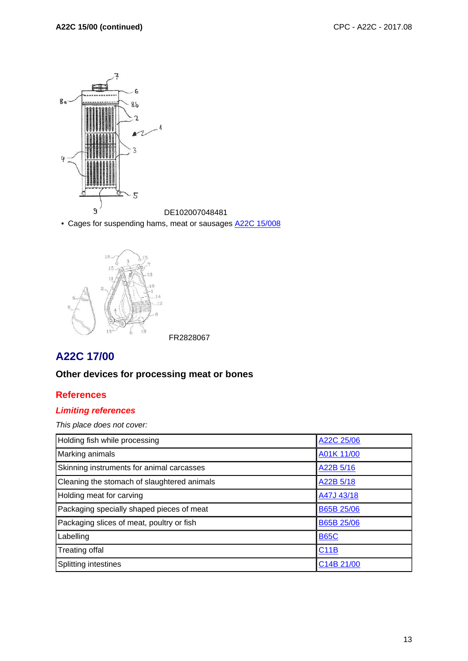

• Cages for suspending hams, meat or sausages A22C 15/008



# **A22C 17/00**

# **Other devices for processing meat or bones**

## **References**

## **Limiting references**

This place does not cover:

| Holding fish while processing               | A22C 25/06        |
|---------------------------------------------|-------------------|
| Marking animals                             | A01K 11/00        |
| Skinning instruments for animal carcasses   | A22B 5/16         |
| Cleaning the stomach of slaughtered animals | A22B 5/18         |
| Holding meat for carving                    | A47J 43/18        |
| Packaging specially shaped pieces of meat   | <b>B65B 25/06</b> |
| Packaging slices of meat, poultry or fish   | B65B 25/06        |
| Labelling                                   | <b>B65C</b>       |
| Treating offal                              | C11B              |
| Splitting intestines                        | C14B 21/00        |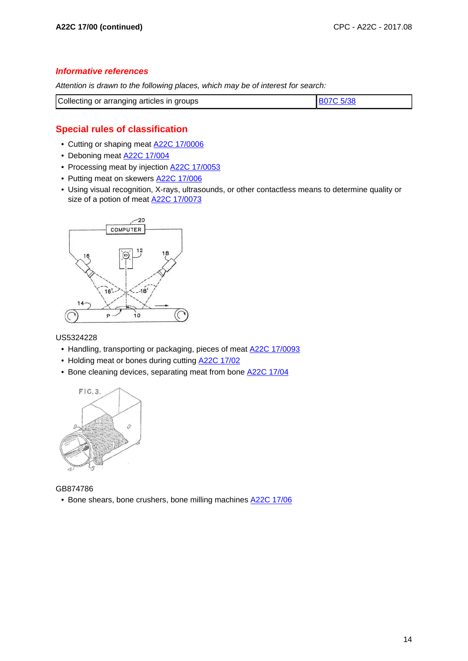#### **Informative references**

Attention is drawn to the following places, which may be of interest for search:

| Collecting or arranging articles in groups | <b>B07C 5/38</b> |
|--------------------------------------------|------------------|

# **Special rules of classification**

- Cutting or shaping meat A22C 17/0006
- Deboning meat **A22C 17/004**
- Processing meat by injection **A22C 17/0053**
- Putting meat on skewers **A22C 17/006**
- Using visual recognition, X-rays, ultrasounds, or other contactless means to determine quality or size of a potion of meat A22C 17/0073



US5324228

- Handling, transporting or packaging, pieces of meat A22C 17/0093
- Holding meat or bones during cutting A22C 17/02
- Bone cleaning devices, separating meat from bone **A22C 17/04**



GB874786 • Bone shears, bone crushers, bone milling machines A22C 17/06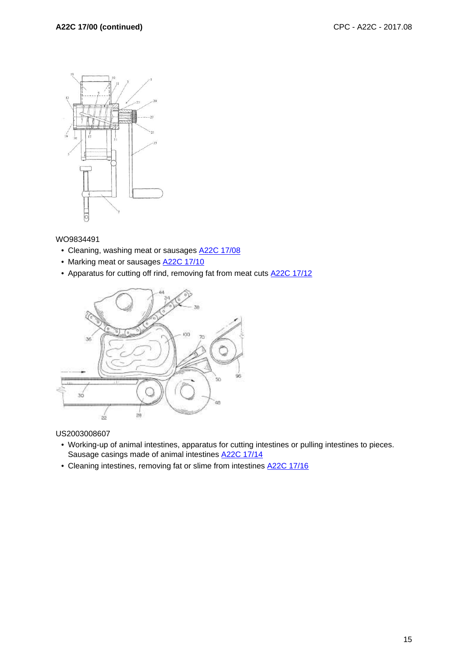

WO9834491

- Cleaning, washing meat or sausages **A22C 17/08**
- Marking meat or sausages **A22C 17/10**
- Apparatus for cutting off rind, removing fat from meat cuts **A22C 17/12**



US2003008607

- Working-up of animal intestines, apparatus for cutting intestines or pulling intestines to pieces. Sausage casings made of animal intestines A22C 17/14
- Cleaning intestines, removing fat or slime from intestines A22C 17/16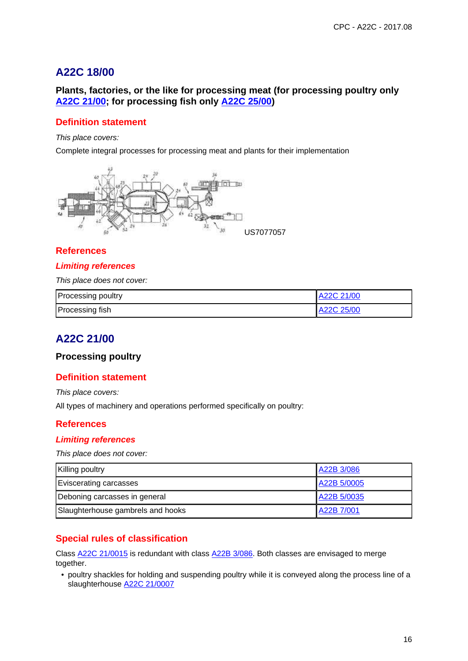# **A22C 18/00**

## **Plants, factories, or the like for processing meat (for processing poultry only A22C 21/00; for processing fish only A22C 25/00)**

## **Definition statement**

#### This place covers:

Complete integral processes for processing meat and plants for their implementation



#### **References**

#### **Limiting references**

This place does not cover:

| <b>Processing poultry</b> | A22C 21/00 |
|---------------------------|------------|
| Processing fish           | A22C 25/00 |

# **A22C 21/00**

#### **Processing poultry**

#### **Definition statement**

This place covers:

All types of machinery and operations performed specifically on poultry:

#### **References**

#### **Limiting references**

This place does not cover:

| <b>Killing poultry</b>            | A22B 3/086  |
|-----------------------------------|-------------|
| Eviscerating carcasses            | A22B 5/0005 |
| Deboning carcasses in general     | A22B 5/0035 |
| Slaughterhouse gambrels and hooks | A22B 7/001  |

## **Special rules of classification**

Class A22C 21/0015 is redundant with class A22B 3/086. Both classes are envisaged to merge together.

• poultry shackles for holding and suspending poultry while it is conveyed along the process line of a slaughterhouse A22C 21/0007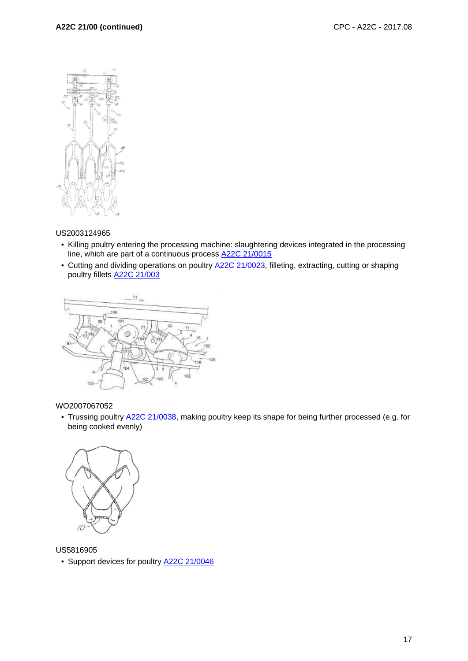

#### US2003124965

- Killing poultry entering the processing machine: slaughtering devices integrated in the processing line, which are part of a continuous process A22C 21/0015
- Cutting and dividing operations on poultry **A22C 21/0023**, filleting, extracting, cutting or shaping poultry fillets A22C 21/003



#### WO2007067052

• Trussing poultry A22C 21/0038, making poultry keep its shape for being further processed (e.g. for being cooked evenly)



US5816905

• Support devices for poultry **A22C 21/0046**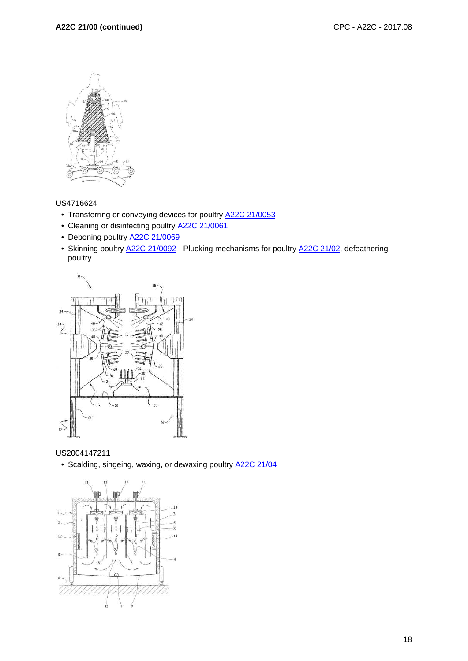

#### US4716624

- Transferring or conveying devices for poultry **A22C 21/0053**
- Cleaning or disinfecting poultry **A22C 21/0061**
- Deboning poultry A22C 21/0069
- Skinning poultry **A22C 21/0092** Plucking mechanisms for poultry A22C 21/02, defeathering poultry



US2004147211

• Scalding, singeing, waxing, or dewaxing poultry **A22C 21/04** 

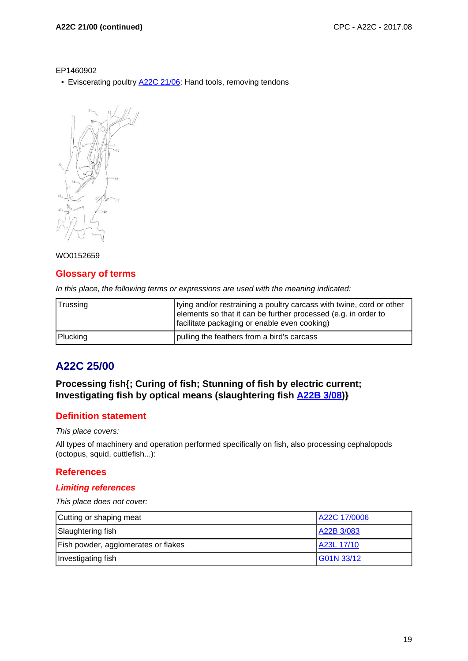EP1460902

• Eviscerating poultry **A22C 21/06:** Hand tools, removing tendons



#### WO0152659

#### **Glossary of terms**

In this place, the following terms or expressions are used with the meaning indicated:

| ∣Trussing | tying and/or restraining a poultry carcass with twine, cord or other<br>elements so that it can be further processed (e.g. in order to<br>facilitate packaging or enable even cooking) |
|-----------|----------------------------------------------------------------------------------------------------------------------------------------------------------------------------------------|
| Plucking  | pulling the feathers from a bird's carcass                                                                                                                                             |

# **A22C 25/00**

## **Processing fish{; Curing of fish; Stunning of fish by electric current; Investigating fish by optical means (slaughtering fish A22B 3/08)}**

#### **Definition statement**

This place covers:

All types of machinery and operation performed specifically on fish, also processing cephalopods (octopus, squid, cuttlefish...):

#### **References**

#### **Limiting references**

This place does not cover:

| Cutting or shaping meat             | A22C 17/0006 |
|-------------------------------------|--------------|
| Slaughtering fish                   | A22B 3/083   |
| Fish powder, agglomerates or flakes | A23L 17/10   |
| Investigating fish                  | G01N 33/12   |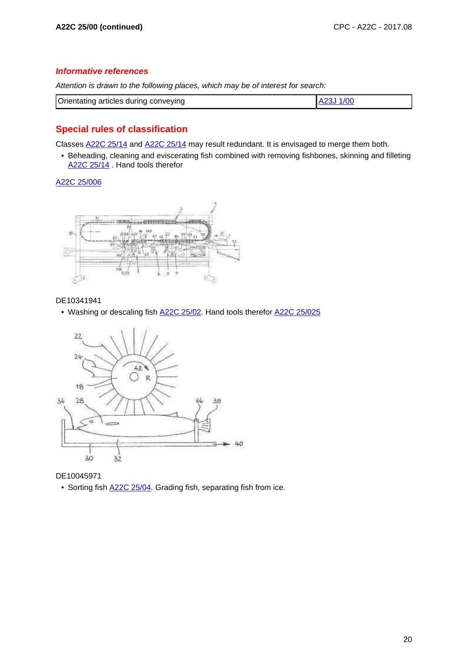#### **Informative references**

Attention is drawn to the following places, which may be of interest for search:

| Orientating articles during conveying |  |
|---------------------------------------|--|
|                                       |  |

# **Special rules of classification**

Classes A22C 25/14 and A22C 25/14 may result redundant. It is envisaged to merge them both.

• Beheading, cleaning and eviscerating fish combined with removing fishbones, skinning and filleting A22C 25/14. Hand tools therefor

A22C 25/006



#### DE10341941

• Washing or descaling fish A22C 25/02. Hand tools therefor A22C 25/025



DE10045971

• Sorting fish  $A22C 25/04$ . Grading fish, separating fish from ice.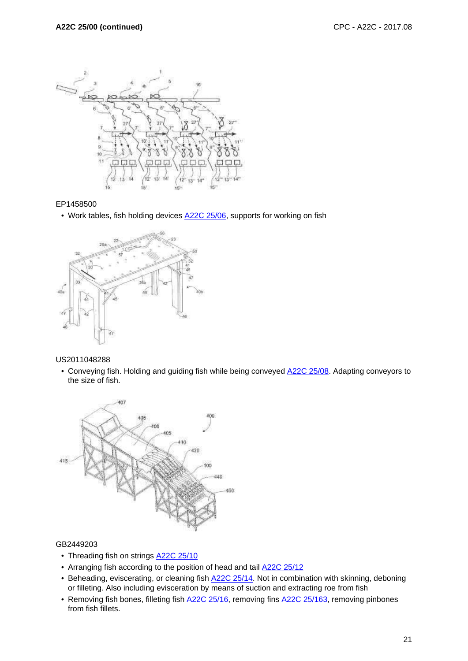

#### EP1458500

• Work tables, fish holding devices A22C 25/06, supports for working on fish



US2011048288

• Conveying fish. Holding and guiding fish while being conveyed **A22C 25/08**. Adapting conveyors to the size of fish.



#### GB2449203

- Threading fish on strings **A22C 25/10**
- Arranging fish according to the position of head and tail **A22C 25/12**
- Beheading, eviscerating, or cleaning fish **A22C 25/14**. Not in combination with skinning, deboning or filleting. Also including evisceration by means of suction and extracting roe from fish
- Removing fish bones, filleting fish **A22C 25/16**, removing fins **A22C 25/163**, removing pinbones from fish fillets.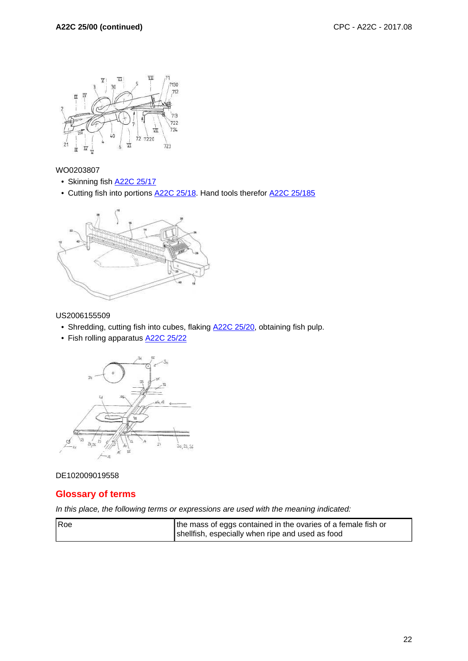

WO0203807

- Skinning fish **A22C 25/17**
- Cutting fish into portions A22C 25/18. Hand tools therefor A22C 25/185



#### US2006155509

- Shredding, cutting fish into cubes, flaking **A22C 25/20**, obtaining fish pulp.
- Fish rolling apparatus **A22C 25/22**



#### DE102009019558

#### **Glossary of terms**

In this place, the following terms or expressions are used with the meaning indicated:

| <b>IRoe</b> | the mass of eggs contained in the ovaries of a female fish or |
|-------------|---------------------------------------------------------------|
|             | shellfish, especially when ripe and used as food              |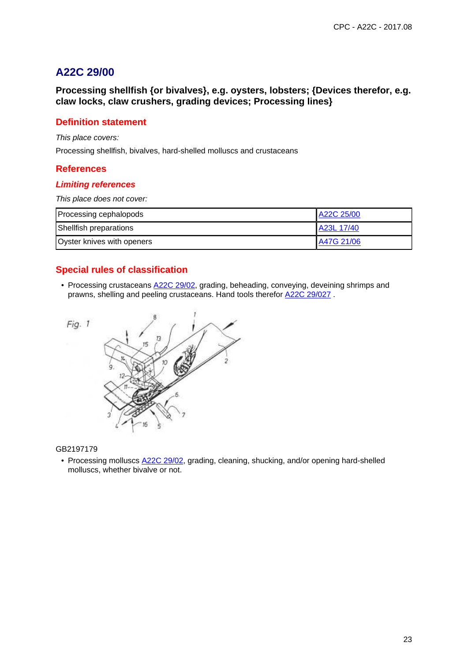# **A22C 29/00**

**Processing shellfish {or bivalves}, e.g. oysters, lobsters; {Devices therefor, e.g. claw locks, claw crushers, grading devices; Processing lines}**

## **Definition statement**

This place covers:

Processing shellfish, bivalves, hard-shelled molluscs and crustaceans

#### **References**

#### **Limiting references**

This place does not cover:

| Processing cephalopods     | A22C 25/00 |
|----------------------------|------------|
| Shellfish preparations     | A23L 17/40 |
| Oyster knives with openers | A47G 21/06 |

# **Special rules of classification**

• Processing crustaceans **A22C 29/02**, grading, beheading, conveying, deveining shrimps and prawns, shelling and peeling crustaceans. Hand tools therefor A22C 29/027 .



#### GB2197179

• Processing molluscs  $A22C 29/02$ , grading, cleaning, shucking, and/or opening hard-shelled molluscs, whether bivalve or not.